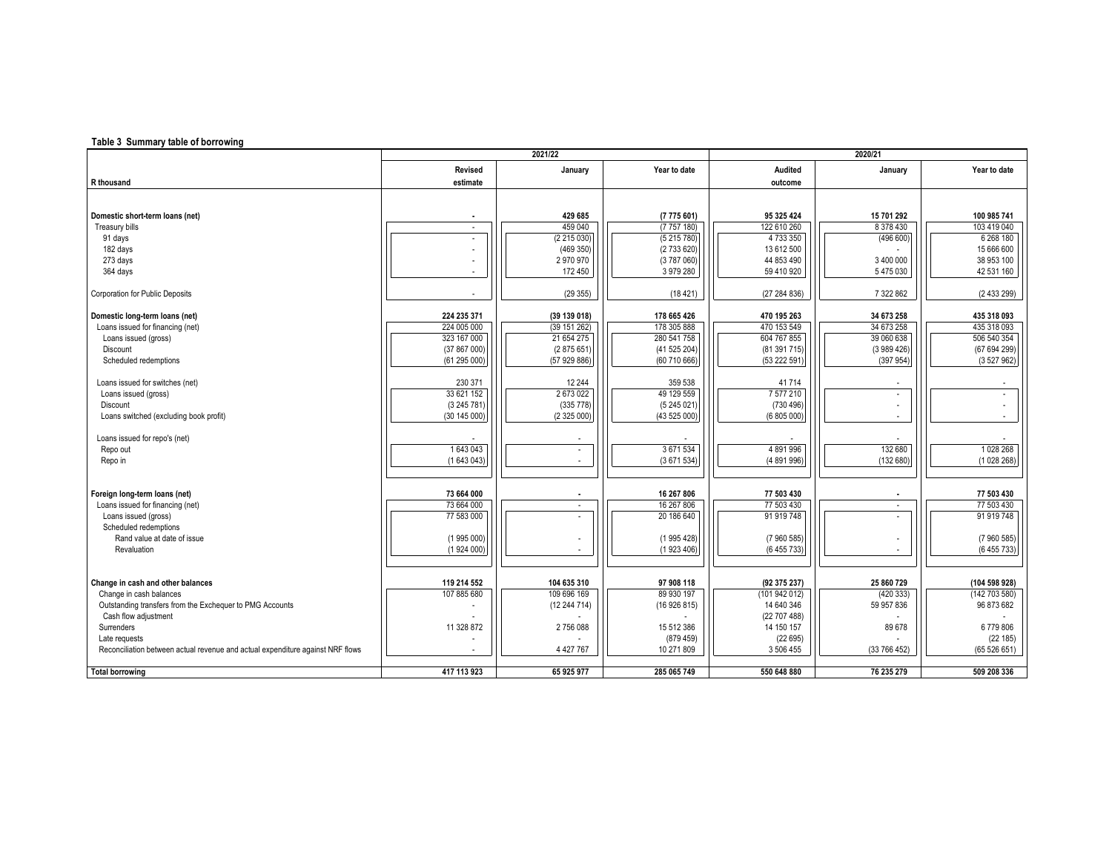## **Table 3 Summary table of borrowing**

|                                                                                |                          | 2021/22       |                          |                          | 2020/21                  |                          |
|--------------------------------------------------------------------------------|--------------------------|---------------|--------------------------|--------------------------|--------------------------|--------------------------|
|                                                                                | Revised                  | January       | Year to date             | Audited                  | January                  | Year to date             |
| R thousand                                                                     | estimate                 |               |                          | outcome                  |                          |                          |
|                                                                                |                          |               |                          |                          |                          |                          |
|                                                                                |                          |               |                          |                          |                          |                          |
| Domestic short-term loans (net)                                                | $\blacksquare$           | 429 685       | (7775601)                | 95 325 424               | 15 701 292               | 100 985 741              |
| Treasury bills                                                                 | ٠                        | 459 040       | (7757180)                | 122 610 260              | 8 378 430                | 103 419 040              |
| 91 days                                                                        |                          | (2215030)     | (5215780)                | 4 733 350                | (496 600)                | 6 268 180                |
| 182 days                                                                       |                          | (469 350)     | (2733620)                | 13 612 500               |                          | 15 666 600               |
| 273 days                                                                       |                          | 2970970       | (3787060)                | 44 853 490               | 3 400 000                | 38 953 100               |
| 364 days                                                                       |                          | 172 450       | 3 979 280                | 59 410 920               | 5 475 030                | 42 531 160               |
| <b>Corporation for Public Deposits</b>                                         |                          | (29355)       | (18421)                  | (27284836)               | 7 322 862                | (2433299)                |
| Domestic long-term loans (net)                                                 | 224 235 371              | (39 139 018)  | 178 665 426              | 470 195 263              | 34 673 258               | 435 318 093              |
| Loans issued for financing (net)                                               | 224 005 000              | (39 151 262)  | 178 305 888              | 470 153 549              | 34 673 258               | 435 318 093              |
| Loans issued (gross)                                                           | 323 167 000              | 21 654 275    | 280 541 758              | 604 767 855              | 39 060 638               | 506 540 354              |
| Discount                                                                       | (37 867 000)             | (2875651)     | (41 525 204)             | (81 391 715)             | (3989426)                | (67 694 299)             |
| Scheduled redemptions                                                          | (61 295 000)             | (57 929 886)  | (60710666)               | (53 222 591              | (397954)                 | (3527962)                |
|                                                                                |                          |               |                          |                          |                          |                          |
| Loans issued for switches (net)                                                | 230 371                  | 12 244        | 359 538                  | 41714                    |                          |                          |
| Loans issued (gross)                                                           | 33 621 152               | 2673022       | 49 129 559               | 7 577 210                | $\overline{\phantom{a}}$ |                          |
| Discount                                                                       | (3 245 781)              | (335 778)     | (5245021)                | (730 496)                |                          |                          |
| Loans switched (excluding book profit)                                         | (30 145 000)             | (2 325 000)   | (43 525 000)             | (6 805 000               |                          | $\sim$                   |
| Loans issued for repo's (net)                                                  |                          |               |                          |                          |                          |                          |
| Repo out                                                                       | 1643043                  |               | 3 671 534                | 4 891 996                | 132 680                  | 1028 268                 |
| Repo in                                                                        | (1643043)                |               | (3671534)                | (4 891 996)              | (132680)                 | (1028268)                |
|                                                                                |                          |               |                          |                          |                          |                          |
|                                                                                |                          |               |                          |                          |                          |                          |
| Foreign long-term loans (net)<br>Loans issued for financing (net)              | 73 664 000<br>73 664 000 | $\sim$        | 16 267 806<br>16 267 806 | 77 503 430<br>77 503 430 | $\sim$                   | 77 503 430<br>77 503 430 |
|                                                                                | 77 583 000               |               | 20 186 640               | 91 919 748               | $\sim$                   | 91 919 748               |
| Loans issued (gross)<br>Scheduled redemptions                                  |                          |               |                          |                          |                          |                          |
| Rand value at date of issue                                                    | (1995000)                |               | (1995428)                | (7960585)                |                          | (7960585)                |
| Revaluation                                                                    | (1924000)                |               | (1923406)                | (6 455 733)              |                          | (6455733)                |
|                                                                                |                          |               |                          |                          |                          |                          |
| Change in cash and other balances                                              | 119 214 552              | 104 635 310   | 97 908 118               | (92 375 237)             | 25 860 729               | (104 598 928)            |
| Change in cash balances                                                        | 107 885 680              | 109 696 169   | 89 930 197               | (101 942 012)            | (420333)                 | (142703580)              |
| Outstanding transfers from the Exchequer to PMG Accounts                       |                          | (12244714)    | (16926815)               | 14 640 346               | 59 957 836               | 96 873 682               |
| Cash flow adjustment                                                           |                          |               |                          | (22 707 488)             |                          |                          |
| Surrenders                                                                     | 11 328 872               | 2756088       | 15 512 386               | 14 150 157               | 89 678                   | 6779806                  |
| Late requests                                                                  |                          |               | (879459)                 | (22695)                  |                          | (22185)                  |
| Reconciliation between actual revenue and actual expenditure against NRF flows | ٠                        | 4 4 2 7 7 6 7 | 10 271 809               | 3 506 455                | (33766452)               | (65526651)               |
| <b>Total borrowing</b>                                                         | 417 113 923              | 65 925 977    | 285 065 749              | 550 648 880              | 76 235 279               | 509 208 336              |
|                                                                                |                          |               |                          |                          |                          |                          |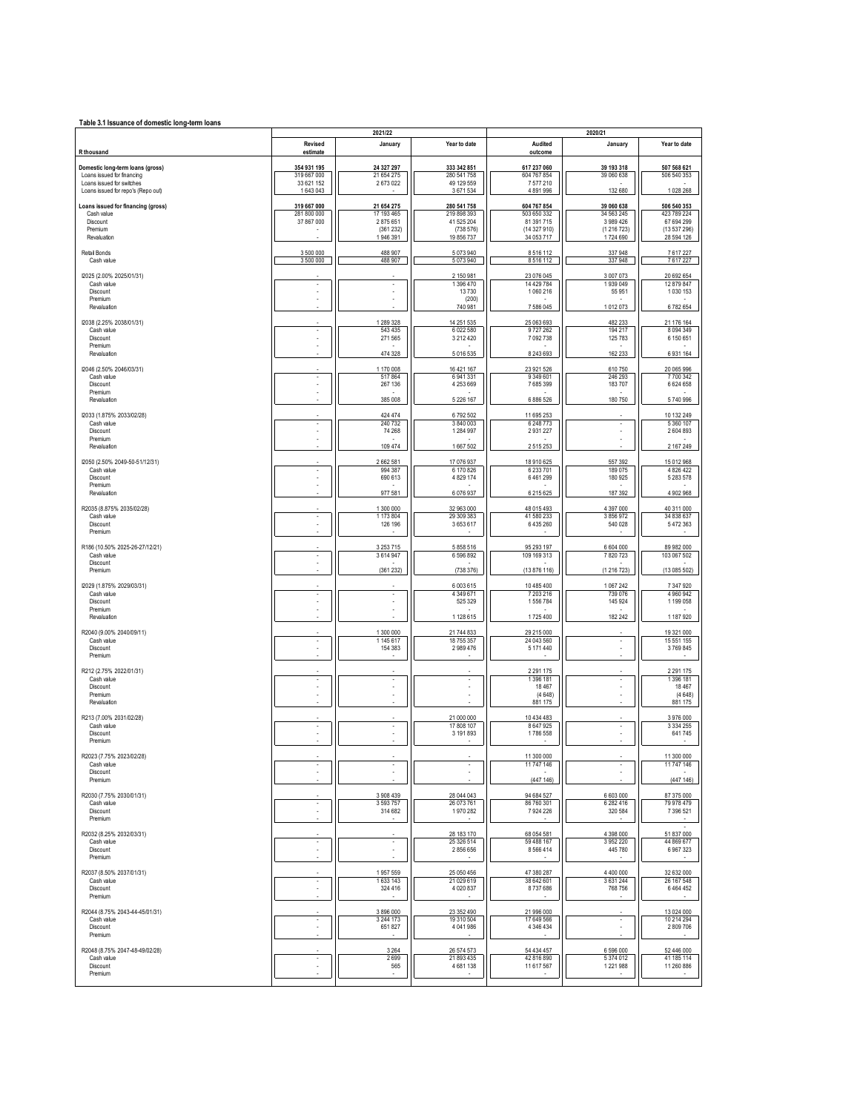| Table 3.1 Issuance of domestic long-term loans                                                                                    |                                                     |                                                             |                                                                    |                                                                      |                                                              |                                                                      |
|-----------------------------------------------------------------------------------------------------------------------------------|-----------------------------------------------------|-------------------------------------------------------------|--------------------------------------------------------------------|----------------------------------------------------------------------|--------------------------------------------------------------|----------------------------------------------------------------------|
| R thousand                                                                                                                        | Revised<br>estimate                                 | 2021/22<br>January                                          | Year to date                                                       | Audited<br>outcome                                                   | 2020/21<br>January                                           | Year to date                                                         |
| Domestic long-term loans (gross)<br>Loans issued for financing<br>Loans issued for switches<br>Loans issued for repo's (Repo out) | 354 931 195<br>319 667 000<br>33 621 152<br>1643043 | 24 327 297<br>21 654 275<br>2673022                         | 333 342 851<br>280 541 758<br>49 129 559<br>3671534                | 617 237 060<br>604 767 854<br>7577210<br>4891996                     | 39 193 318<br>39 060 638<br>132 680                          | 507 568 621<br>506 540 353<br>1028 268                               |
| Loans issued for financing (gross)<br>Cash value<br>Discount<br>Premium<br>Revaluation                                            | 319 667 000<br>281 800 000<br>37 867 000            | 21 654 275<br>17 193 465<br>2875651<br>(361232)<br>1946 391 | 280 541 758<br>219 898 393<br>41 525 204<br>(738576)<br>19 856 737 | 604 767 854<br>503 650 332<br>81 391 715<br>(14327910)<br>34 053 717 | 39 060 638<br>34 563 245<br>3989426<br>(1216723)<br>1724 690 | 506 540 353<br>423 789 224<br>67 694 299<br>(13537296)<br>28 594 126 |
| Retail Bonds<br>Cash value                                                                                                        | 3 500 000<br>3 500 000                              | 488 907<br>488 907                                          | 5073940<br>5073940                                                 | 8516112<br>8516112                                                   | 337948<br>337948                                             | 7617227<br>7617227                                                   |
| I2025 (2.00% 2025/01/31)<br>Cash value<br>Discount<br>Premium<br>Revaluation                                                      |                                                     | ×,<br>×                                                     | 2 150 981<br>1 396 470<br>13730<br>(200)<br>740 981                | 23 076 045<br>14 429 784<br>1060216<br>7586045                       | 3007073<br>1939049<br>55 951<br>1012073                      | 20 692 654<br>12 879 847<br>1030153<br>6782654                       |
| I2038 (2.25% 2038/01/31)<br>Cash value<br>Discount<br>Premium<br>Revaluation                                                      | ٠                                                   | 1 289 328<br>543 435<br>271 565<br>474 328                  | 14 251 535<br>6 022 580<br>3 2 1 2 4 2 0<br>5016535                | 25 063 693<br>9727262<br>7 092 738<br>8 243 693                      | 482 233<br>194 217<br>125 783<br>162 233                     | 21 176 164<br>8094349<br>6 150 651<br>6931164                        |
| I2046 (2.50% 2046/03/31)<br>Cash value<br>Discount<br>Premium<br>Revaluation                                                      | $\overline{\phantom{a}}$                            | 1 170 008<br>517864<br>267 136<br>385 008                   | 16 421 167<br>6941331<br>4 253 669<br>5 2 2 6 1 6 7                | 23 921 526<br>9 349 601<br>7685399<br>6 886 526                      | 610 750<br>246 293<br>183707<br>180 750                      | 20 065 996<br>7700342<br>6624658<br>5740996                          |
| I2033 (1.875% 2033/02/28)<br>Cash value<br>Discount<br>Premium<br>Revaluation                                                     | $\overline{\phantom{a}}$                            | 424 474<br>240 732<br>74 268<br>109 474                     | 6792502<br>3 840 003<br>1 284 997<br>1667502                       | 11 695 253<br>6 248 773<br>2931227<br>2515253                        | ٠                                                            | 10 132 249<br>5360107<br>2604893<br>2 167 249                        |
| I2050 (2.50% 2049-50-51/12/31)<br>Cash value<br>Discount<br>Premium<br>Revaluation                                                | $\overline{\phantom{a}}$                            | 2662581<br>994 387<br>690 613<br>977 581                    | 17 076 937<br>6 170 826<br>4 8 29 1 74<br>6076937                  | 18 910 625<br>6 233 701<br>6461299<br>6 215 6 25                     | 557 392<br>189075<br>180 925<br>187 392                      | 15 012 968<br>4 8 2 6 4 2 2<br>5 283 578<br>4902968                  |
| R2035 (8.875% 2035/02/28)<br>Cash value<br>Discount<br>Premium                                                                    | $\overline{\phantom{a}}$                            | 1 300 000<br>1 173 804<br>126 196                           | 32 963 000<br>29 309 383<br>3653617                                | 48 015 493<br>41 580 233<br>6 435 260                                | 4 3 9 7 0 0 0<br>3856972<br>540 028                          | 40 311 000<br>34 838 637<br>5472363                                  |
| R186 (10.50% 2025-26-27/12/21)<br>Cash value<br>Discount<br>Premium                                                               | $\overline{\phantom{a}}$                            | 3 2 5 3 7 1 5<br>3614947<br>(361232)                        | 5 858 516<br>6 596 892<br>(738376)                                 | 95 293 197<br>109 169 313<br>(13 876 116)                            | 6 604 000<br>7820723<br>(1216723)                            | 89 982 000<br>103 067 502<br>(13085502)                              |
| I2029 (1.875% 2029/03/31)<br>Cash value<br>Discount<br>Premium<br>Revaluation                                                     |                                                     | $\overline{\phantom{a}}$                                    | 6 003 615<br>4 349 671<br>525 329<br>1 128 615                     | 10 485 400<br>7 203 216<br>1556784<br>1725 400                       | 1067242<br>739 076<br>145 924<br>182 242                     | 7347920<br>4 9 6 0 9 4 2<br>1199058<br>1187920                       |
| R2040 (9.00% 2040/09/11)<br>Cash value<br>Discount<br>Premium                                                                     | $\overline{\phantom{a}}$                            | 1 300 000<br>1 145 617<br>154 383                           | 21 744 833<br>18 755 357<br>2 989 476                              | 29 215 000<br>24 043 560<br>5 171 440                                | ٠                                                            | 19 321 000<br>15 551 155<br>3769845                                  |
| R212 (2.75% 2022/01/31)<br>Cash value<br>Discount<br>Premium<br>Revaluation                                                       |                                                     | $\overline{\phantom{a}}$<br>ä,                              |                                                                    | 2 2 9 1 1 7 5<br>1 396 181<br>18 4 67<br>(4648)<br>881 175           |                                                              | 2 2 9 1 1 7 5<br>1396 181<br>18 4 67<br>(4648)<br>881 175            |
| R213 (7.00% 2031/02/28)<br>Cash value<br>Discount<br>Premium                                                                      |                                                     |                                                             | 21 000 000<br>17 808 107<br>3 191 893                              | 10 434 483<br>8 647 925<br>1786 558                                  |                                                              | 3976000<br>3 3 3 4 2 5 5<br>641745                                   |
| R2023 (7.75% 2023/02/28)<br>Cash value<br>Discount<br>Premium                                                                     | ٠                                                   | ٠                                                           | ×                                                                  | 11 300 000<br>11 747 146<br>(447146)                                 |                                                              | 11 300 000<br>11 747 146<br>(447146)                                 |
| R2030 (7.75% 2030/01/31)<br>Cash value<br>Discount<br>Premium<br>R2032 (8.25% 2032/03/31)                                         | $\overline{\phantom{a}}$                            | 3908439<br>3 5 9 3 7 5 7<br>314 682                         | 28 044 043<br>26 073 761<br>1970 282<br>28 183 170                 | 94 684 527<br>86 760 301<br>7924226<br>68 054 581                    | 6 603 000<br>6 282 416<br>320 584<br>4 3 9 8 0 0 0           | 87 375 000<br>79 978 479<br>7 396 521<br>51 837 000                  |
| Cash value<br>Discount<br>Premium<br>R2037 (8.50% 2037/01/31)                                                                     |                                                     | $\blacksquare$<br>1957559                                   | 25 326 514<br>2856656<br>25 050 456                                | 59 488 167<br>8566414<br>47 380 287                                  | 3952220<br>445 780<br>4400000                                | 44 869 677<br>6967323<br>32 632 000                                  |
| Cash value<br>Discount<br>Premium<br>R2044 (8.75% 2043-44-45/01/31)                                                               | $\overline{\phantom{a}}$                            | 1633143<br>324 416<br>3896000                               | 21 029 619<br>4 0 20 8 37<br>23 352 490                            | 38 642 601<br>8737686<br>21 996 000                                  | 3631244<br>768 756                                           | 26 167 548<br>6464452<br>13 024 000                                  |
| Cash value<br>Discount<br>Premium<br>R2048 (8.75% 2047-48-49/02/28)                                                               |                                                     | 3 244 173<br>651 827<br>3 2 6 4                             | 19 310 504<br>4 041 986<br>26 574 573                              | 17 649 566<br>4 346 434<br>54 434 457                                | 6596000                                                      | 10 214 294<br>2809706<br>52 446 000                                  |
| Cash value<br>Discount<br>Premium                                                                                                 | $\overline{\phantom{a}}$                            | 2699<br>565                                                 | 21 893 435<br>4681138                                              | 42 816 890<br>11 617 567                                             | 5374012<br>1221988                                           | 41 185 114<br>11 260 886                                             |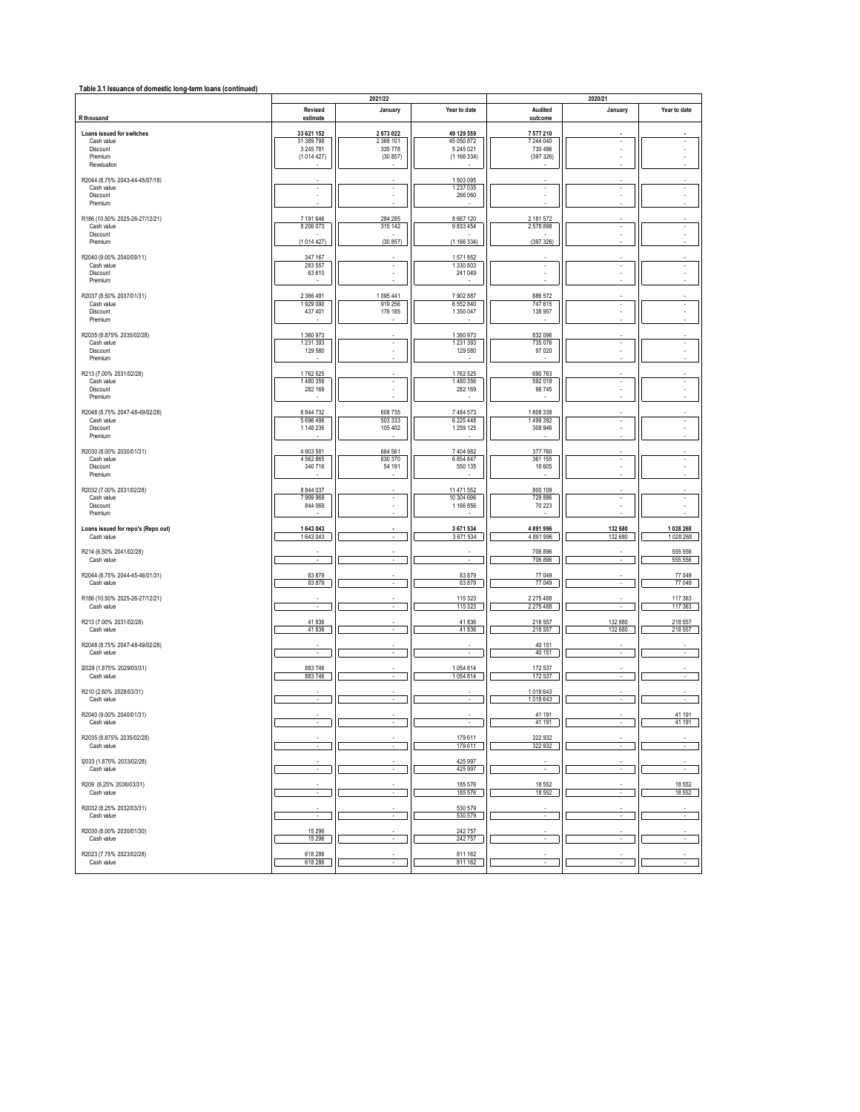| Table 3.1 Issuance of domestic long-term loans (continued) |  |  |  |  |
|------------------------------------------------------------|--|--|--|--|
|------------------------------------------------------------|--|--|--|--|

|                                                                               |                                                    | 2021/22                                    |                                                     |                                               | 2020/21                  |                          |
|-------------------------------------------------------------------------------|----------------------------------------------------|--------------------------------------------|-----------------------------------------------------|-----------------------------------------------|--------------------------|--------------------------|
| R thousand                                                                    | Revised<br>estimate                                | January                                    | Year to date                                        | Audited<br>outcome                            | January                  | Year to date             |
| Loans issued for switches<br>Cash value<br>Discount<br>Premium<br>Revaluation | 33 621 152<br>31 389 798<br>3 245 781<br>(1014427) | 2673022<br>2 3 68 101<br>335778<br>(30857) | 49 129 559<br>45 050 872<br>5 245 0 21<br>(1166334) | 7 577 210<br>7 244 040<br>730 496<br>(397326) | ٠                        |                          |
| R2044 (8.75% 2043-44-45/07/18)<br>Cash value<br>Discount<br>Premium           | $\overline{\phantom{a}}$                           | $\overline{\phantom{a}}$                   | 1503095<br>1 237 0 35<br>266 060                    | $\overline{\phantom{a}}$                      | ٠                        | ٠                        |
| R186 (10.50% 2025-26-27/12/21)<br>Cash value<br>Discount<br>Premium           | 7 191 646<br>8 206 073<br>(1014427)                | 284 285<br>315 142<br>(30857)              | 8 6 6 7 1 2 0<br>9833454<br>(1166334)               | 2 181 572<br>2578898<br>(397326)              | ۰                        |                          |
| R2040 (9.00% 2040/09/11)<br>Cash value<br>Discount<br>Premium                 | 347 167<br>283 557<br>63 610                       | $\overline{\phantom{a}}$                   | 1571852<br>1 330 803<br>241 049                     | $\overline{\phantom{a}}$<br>×,                | ٠                        | ٠                        |
| R2037 (8.50% 2037/01/31)<br>Cash value<br>Discount<br>Premium                 | 2 366 491<br>1929 090<br>437 401                   | 1095441<br>919 256<br>176 185              | 7902887<br>6 552 840<br>1 350 047                   | 886 572<br>747 615<br>138 957                 | $\sim$                   | $\overline{\phantom{a}}$ |
| R2035 (8.875% 2035/02/28)<br>Cash value<br>Discount<br>Premium                | 1 360 973<br>1 2 3 1 3 9 3<br>129 580              | ×<br>ä,                                    | 1 360 973<br>1 2 3 1 3 9 3<br>129 580               | 832 096<br>735 076<br>97 0 20                 | ٠                        | ÷                        |
| R213 (7.00% 2031/02/28)<br>Cash value<br>Discount<br>Premium                  | 1762 525<br>1480 356<br>282 169                    | $\overline{\phantom{a}}$                   | 1762 525<br>1480 356<br>282 169                     | 690 763<br>592 018<br>98 745                  | $\overline{\phantom{a}}$ | $\overline{\phantom{a}}$ |
| R2048 (8.75% 2047-48-49/02/28)<br>Cash value<br>Discount<br>Premium           | 6 844 732<br>5696496<br>1 148 236                  | 608 735<br>503 333<br>105 402              | 7 484 573<br>6 225 448<br>1 259 1 25                | 1808338<br>1499392<br>308 946                 | ۰                        |                          |
| R2030 (8.00% 2030/01/31)<br>Cash value<br>Discount<br>Premium                 | 4 903 581<br>4562865<br>340 716                    | 684 561<br>630 370<br>54 191               | 7 404 982<br>6 8 5 4 8 4 7<br>550 135               | 377 760<br>361 155<br>16 605                  | ٠                        | ۰                        |
| R2032 (7.00% 2031/02/28)<br>Cash value<br>Discount<br>Premium                 | 8 844 037<br>7999968<br>844 069                    | $\overline{\phantom{a}}$<br>×              | 11 471 552<br>10 304 696<br>1 166 856               | 800 109<br>729 886<br>70 223                  | ٠                        | $\overline{\phantom{a}}$ |
| Loans issued for repo's (Repo out)<br>Cash value                              | 1 643 043<br>1643043                               | ٠                                          | 3671534<br>3671534                                  | 4891996<br>4891996                            | 132 680<br>132 680       | 1028 268<br>1028 268     |
| R214 (6.50% 2041/02/28)<br>Cash value                                         |                                                    | ä,                                         | à,                                                  | 706 896<br>706 896                            |                          | 555 556<br>555 556       |
| R2044 (8.75% 2044-45-46/01/31)<br>Cash value                                  | 83 879<br>83879                                    | ä,                                         | 83879<br>83879                                      | 77 049<br>77 049                              | ä,                       | 77 049<br>77 049         |
| R186 (10.50% 2025-26-27/12/21)<br>Cash value                                  | $\overline{\phantom{a}}$                           | ä,                                         | 115 3 23<br>115 3 23                                | 2 275 488<br>2 275 488                        | ٠                        | 117 363<br>117 363       |
| R213 (7.00% 2031/02/28)<br>Cash value                                         | 41836<br>41836                                     | ä,                                         | 41836<br>41836                                      | 218 557<br>218 557                            | 132 680<br>132 680       | 218 557<br>218 557       |
| R2048 (8.75% 2047-48-49/02/28)<br>Cash value                                  | $\sim$                                             | $\sim$                                     | ×                                                   | 40 151<br>40 151                              | ٠                        |                          |
| I2029 (1.875% 2029/03/31)<br>Cash value                                       | 883746<br>883746                                   | ÷.                                         | 1054814<br>1054814                                  | 172 537<br>172 537                            | ٠                        |                          |
| R210 (2.60% 2028/03/31)<br>Cash value                                         | $\sim$                                             | $\sim$                                     | $\sim$                                              | 1018643<br>1018643                            | $\sim$                   | ٠                        |
| R2040 (9.00% 2040/01/31)<br>Cach value                                        |                                                    |                                            |                                                     | 41 191<br>41 191                              |                          | 41 191<br>41 191         |
| R2035 (8.875% 2035/02/28)<br>Cash value                                       | $\overline{\phantom{a}}$                           | $\sim$                                     | 179611<br>179611                                    | 322 932<br>322 932                            | $\sim$                   | $\sim$                   |
| I2033 (1.875% 2033/02/28)<br>Cash value                                       | ÷                                                  | ÷                                          | 425 997<br>425 997                                  | $\sim$                                        | ÷                        | $\sim$                   |
| R209 (6.25% 2036/03/31)<br>Cash value                                         | $\overline{\phantom{a}}$                           | $\overline{\phantom{a}}$                   | 185576<br>185576                                    | 18 5 52<br>18 5 52                            | $\cdot$                  | 18 552<br>18 552         |
| R2032 (8.25% 2032/03/31)<br>Cash value                                        | ×                                                  | ×                                          | 530 579<br>530 579                                  | ÷.                                            |                          |                          |
| R2030 (8.00% 2030/01/30)<br>Cash value                                        | 15 29 6<br>15 2 96                                 | $\sim$                                     | 242757<br>242757                                    | $\mathcal{L}_{\mathcal{A}}$                   | $\sim$                   | $\overline{\phantom{a}}$ |
| R2023 (7.75% 2023/02/28)<br>Cash value                                        | 618 286<br>618 286                                 | ×                                          | 811 162<br>811 162                                  | ×.                                            | $\sim$                   |                          |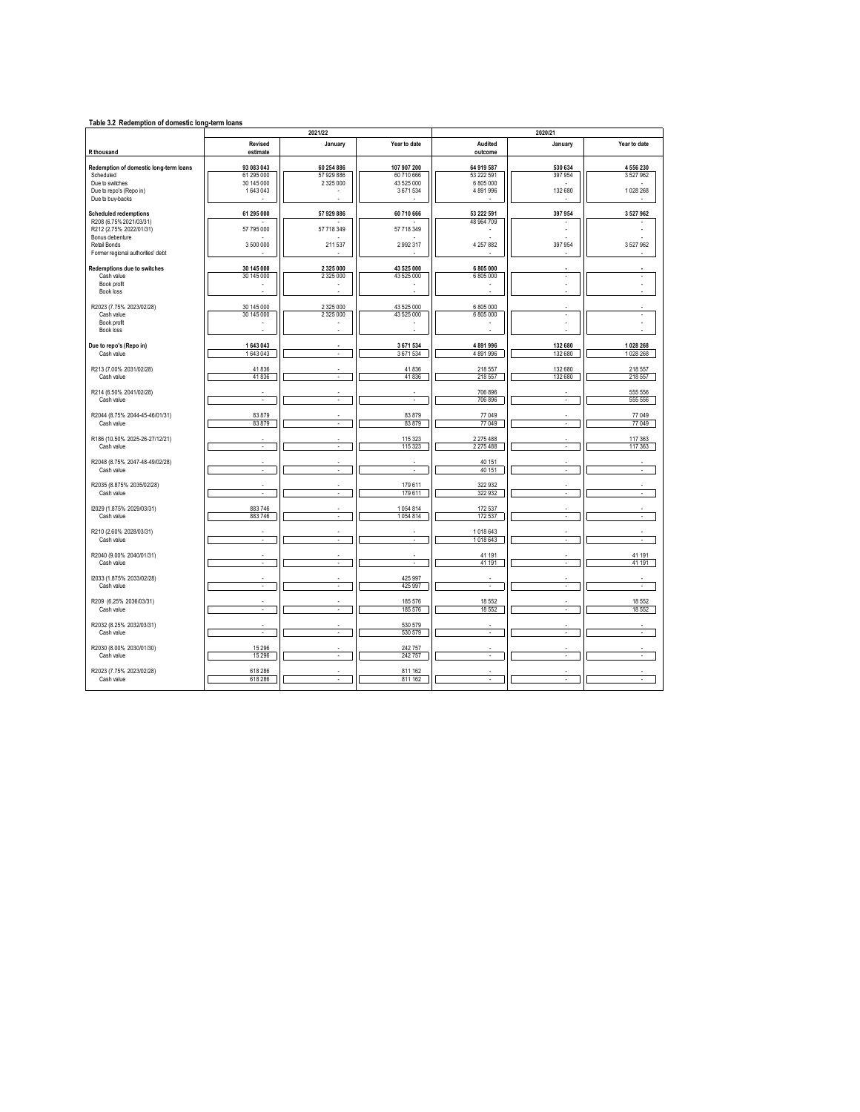| Table 3.2 Redemption of domestic long-term loans   |                          |                          |                       |                          |                          |                             |  |
|----------------------------------------------------|--------------------------|--------------------------|-----------------------|--------------------------|--------------------------|-----------------------------|--|
|                                                    |                          | 2021/22                  |                       |                          | 2020/21                  |                             |  |
| R thousand                                         | Revised<br>estimate      | January                  | Year to date          | Audited<br>outcome       | January                  | Year to date                |  |
|                                                    |                          |                          |                       |                          |                          |                             |  |
| Redemption of domestic long-term loans             | 93 083 043               | 60 254 886               | 107 907 200           | 64 919 587               | 530 634                  | 4556230                     |  |
| Scheduled                                          | 61 295 000               | 57 929 886               | 60 710 666            | 53 222 591               | 397 954                  | 3527962                     |  |
| Due to switches<br>Due to repo's (Repo in)         | 30 145 000<br>1643043    | 2 3 2 5 0 0 0            | 43 525 000<br>3671534 | 6 805 000<br>4891996     | 132 680                  | 1028 268                    |  |
| Due to buy-backs                                   |                          |                          |                       |                          |                          |                             |  |
| <b>Scheduled redemptions</b>                       | 61 295 000               | 57 929 886               | 60 710 666            | 53 222 591               | 397 954                  | 3527962                     |  |
| R208 (6.75% 2021/03/31)<br>R212 (2.75% 2022/01/31) | 57 795 000               | 57 718 349               | 57 718 349            | 48 964 709               |                          |                             |  |
| Bonus debenture                                    |                          |                          |                       |                          |                          |                             |  |
| Retail Bonds<br>Former regional authorities' debt  | 3 500 000                | 211 537                  | 2992317               | 4 257 882                | 397 954                  | 3527962                     |  |
| Redemptions due to switches                        | 30 145 000               | 2 3 2 5 0 0 0            | 43 525 000            | 6805000                  |                          |                             |  |
| Cash value                                         | 30 145 000               | 2 325 000                | 43 525 000            | 6805000                  | $\overline{\phantom{a}}$ | ×                           |  |
| Book profit                                        | ٠                        |                          |                       | ٠                        | ä,                       |                             |  |
| Book loss                                          |                          |                          |                       |                          |                          |                             |  |
| R2023 (7.75% 2023/02/28)                           | 30 145 000               | 2 325 000                | 43 525 000            | 6 805 000                |                          |                             |  |
| Cash value                                         | 30 145 000               | 2 325 000                | 43 525 000            | 6 805 000                | $\overline{\phantom{a}}$ | ٠                           |  |
| Book profit                                        |                          |                          |                       | ÷.                       |                          |                             |  |
| Book loss                                          |                          |                          |                       |                          |                          |                             |  |
| Due to repo's (Repo in)                            | 1 643 043                |                          | 3 671 534             | 4891996                  | 132 680                  | 1028 268                    |  |
| Cash value                                         | 1643043                  | ÷                        | 3671534               | 4891996                  | 132 680                  | 1028 268                    |  |
| R213 (7.00% 2031/02/28)                            | 41836                    |                          | 41836                 | 218 557                  | 132 680                  | 218 557                     |  |
| Cash value                                         | 41836                    | $\epsilon$               | 41836                 | 218 557                  | 132 680                  | 218 557                     |  |
|                                                    |                          |                          |                       |                          |                          |                             |  |
| R214 (6.50% 2041/02/28)<br>Cash value              | ×                        | ×.                       | ×                     | 706 896<br>706896        | ×                        | 555 556<br>555 556          |  |
|                                                    |                          |                          |                       |                          |                          |                             |  |
| R2044 (8.75% 2044-45-46/01/31)                     | 83 879                   |                          | 83879                 | 77 049                   |                          | 77 049                      |  |
| Cash value                                         | 83 879                   | L.                       | 83 879                | 77049                    | J.                       | 77 049                      |  |
|                                                    |                          |                          |                       |                          |                          |                             |  |
| R186 (10.50% 2025-26-27/12/21)<br>Cash value       | ÷,                       | ä,                       | 115 323<br>115 323    | 2 275 488<br>2 275 488   | J.                       | 117 363<br>117 363          |  |
|                                                    |                          |                          |                       |                          |                          |                             |  |
| R2048 (8.75% 2047-48-49/02/28)                     |                          |                          |                       | 40 151                   |                          |                             |  |
| Cash value                                         | ÷                        |                          |                       | 40 151                   |                          | ÷.                          |  |
| R2035 (8.875% 2035/02/28)                          |                          |                          | 179 611               | 322932                   |                          |                             |  |
| Cash value                                         | ÷.                       | ÷                        | 179611                | 322932                   | ÷.                       | à.                          |  |
|                                                    |                          |                          |                       |                          |                          |                             |  |
| I2029 (1.875% 2029/03/31)                          | 883746                   |                          | 1054814               | 172537                   |                          |                             |  |
| Cash value                                         | 883 746                  | ä,                       | 1054814               | 172537                   | ×,                       | à,                          |  |
| R210 (2.60% 2028/03/31)                            |                          |                          |                       | 1018643                  |                          |                             |  |
| Cash value                                         | $\epsilon$               | ×.                       | $\epsilon$            | 1018643                  | $\epsilon$               | ×,                          |  |
|                                                    |                          |                          |                       |                          |                          |                             |  |
| R2040 (9.00% 2040/01/31)<br>Cash value             |                          |                          | ×,                    | 41 191<br>41 191         |                          | 41 191<br>41 191            |  |
|                                                    | $\overline{\phantom{a}}$ | ×,                       |                       |                          | ٠                        |                             |  |
| I2033 (1.875% 2033/02/28)                          |                          |                          | 425 997               |                          |                          |                             |  |
| Cash value                                         | $\cdot$                  | $\overline{\phantom{a}}$ | 425 997               | ×,                       | ÷.                       | ×                           |  |
| R209 (6.25% 2036/03/31)                            |                          |                          | 185 576               | 18 5 52                  |                          | 18 552                      |  |
| Cash value                                         | $\overline{\phantom{a}}$ | $\overline{\phantom{a}}$ | 185 576               | 18552                    | $\overline{\phantom{a}}$ | 18552                       |  |
|                                                    |                          |                          |                       |                          |                          |                             |  |
| R2032 (8.25% 2032/03/31)                           |                          |                          | 530 579               |                          |                          |                             |  |
| Cash value                                         | $\epsilon$               | $\epsilon$               | 530 579               | $\epsilon$               | $\epsilon$               | $\mathcal{L}_{\mathcal{A}}$ |  |
| R2030 (8.00% 2030/01/30)                           | 15 29 6                  |                          | 242 757               |                          |                          |                             |  |
| Cash value                                         | 15 29 6                  | $\overline{\phantom{a}}$ | 242757                | $\overline{\phantom{a}}$ | $\overline{\phantom{a}}$ | $\sim$                      |  |
|                                                    |                          |                          |                       |                          |                          |                             |  |
| R2023 (7.75% 2023/02/28)                           | 618 286                  |                          | 811 162               |                          |                          |                             |  |
| Cash value                                         | 618 286                  | ä,                       | 811 162               | $\epsilon$               | ÷.                       | $\sim$                      |  |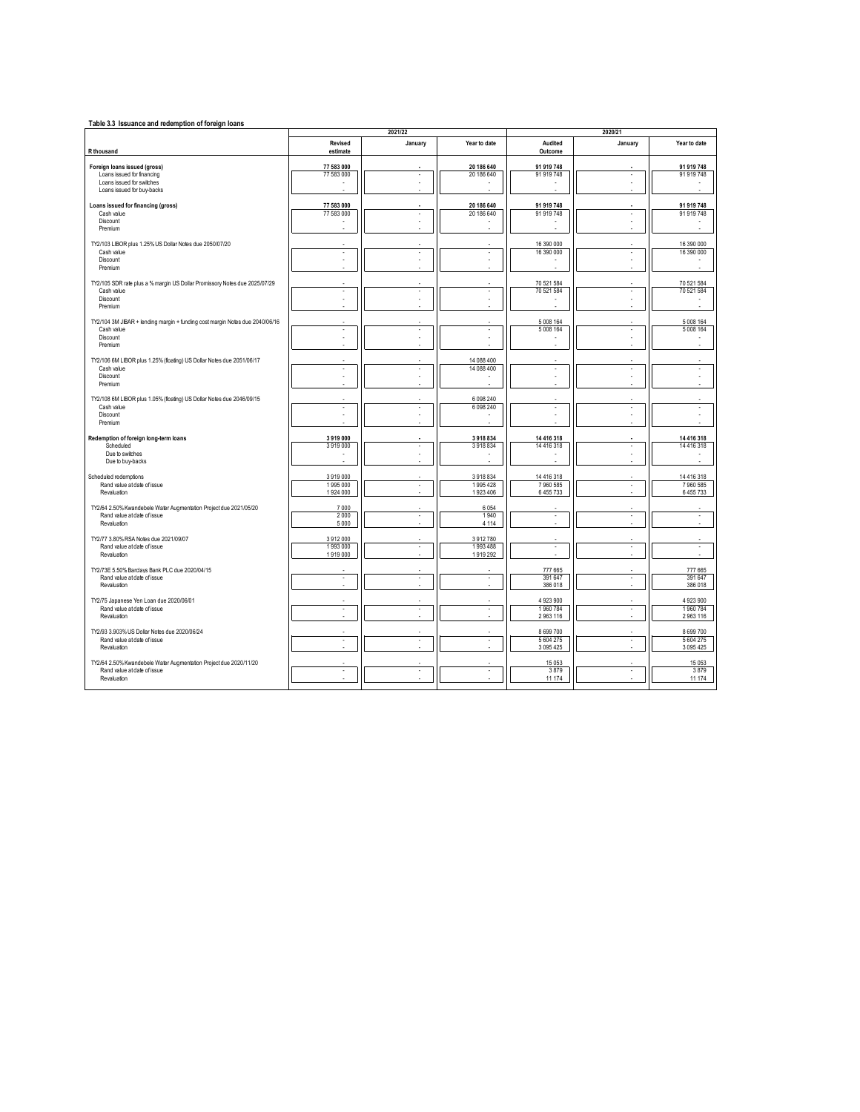| Table 3.3 Issuance and redemption of foreign loans                                               |                      | 2021/22 |                            |                          | 2020/21 |                          |
|--------------------------------------------------------------------------------------------------|----------------------|---------|----------------------------|--------------------------|---------|--------------------------|
|                                                                                                  | Revised              | January | Year to date               | Audited                  | January | Year to date             |
| R thousand                                                                                       | estimate             |         |                            | Outcome                  |         |                          |
| Foreign loans issued (gross)                                                                     | 77 583 000           |         | 20 186 640                 | 91 919 748               |         | 91 919 748               |
| Loans issued for financing                                                                       | 77 583 000           |         | 20 186 640                 | 91 919 748               |         | 91 919 748               |
| Loans issued for switches                                                                        |                      |         |                            |                          |         |                          |
| Loans issued for buy-backs                                                                       |                      |         |                            |                          |         |                          |
| Loans issued for financing (gross)                                                               | 77 583 000           |         | 20 186 640                 | 91 919 748               |         | 91 919 748               |
| Cash value<br>Discount                                                                           | 77 583 000           |         | 20 186 640                 | 91 919 748               |         | 91 919 748               |
| Premium                                                                                          |                      |         |                            |                          |         |                          |
|                                                                                                  |                      |         |                            |                          |         |                          |
| TY2/103 LIBOR plus 1.25% US Dollar Notes due 2050/07/20<br>Cash value                            | í,                   | ×,      |                            | 16 390 000<br>16 390 000 |         | 16 390 000<br>16 390 000 |
| Discount                                                                                         |                      |         |                            |                          |         |                          |
| Premium                                                                                          |                      |         |                            |                          |         |                          |
| TY2/105 SDR rate plus a % margin US Dollar Promissory Notes due 2025/07/29                       |                      |         |                            | 70 521 584               |         | 70 521 584               |
| Cash value                                                                                       | í,                   | ×.      |                            | 70 521 584               |         | 70 521 584               |
| Discount<br>Premium                                                                              | ä,                   |         |                            |                          |         |                          |
|                                                                                                  |                      |         |                            |                          |         |                          |
| TY2/104 3M JIBAR + lending margin + funding cost margin Notes due 2040/06/16                     |                      |         |                            | 5 008 164                |         | 5 008 164                |
| Cash value<br>Discount                                                                           | ×.                   | ×.      | ×                          | 5 008 164                | $\sim$  | 5 008 164                |
| Premium                                                                                          |                      |         |                            |                          |         |                          |
|                                                                                                  |                      |         |                            |                          |         |                          |
| TY2/106 6M LIBOR plus 1.25% (foating) US Dollar Notes due 2051/06/17<br>Cash value               | ×,                   | ٠       | 14 088 400<br>14 088 400   | ×                        | ×       | ×,                       |
| Discount                                                                                         | ä,                   |         |                            | Î.                       |         |                          |
| Premium                                                                                          |                      |         |                            |                          |         |                          |
|                                                                                                  |                      |         |                            |                          |         |                          |
| TY2/108 6M LIBOR plus 1.05% (floating) US Dollar Notes due 2046/09/15<br>Cash value              | ×.                   | ×.      | 6 0 98 2 40<br>6 0 98 2 40 | ×                        |         | ×,                       |
| Discount                                                                                         |                      |         |                            | J.                       |         |                          |
| Premium                                                                                          |                      |         |                            |                          |         |                          |
| Redemption of foreign long-term loans                                                            | 3919000              |         | 3918834                    | 14 416 318               |         | 14 416 318               |
| Scheduled                                                                                        | 3919000              | $\sim$  | 3918834                    | 14 416 318               | ٠.      | 14 416 318               |
| Due to switches<br>Due to buy-backs                                                              |                      |         |                            |                          |         |                          |
|                                                                                                  |                      |         |                            |                          |         |                          |
| Scheduled redemptions                                                                            | 3919000              |         | 3918834                    | 14 4 16 3 18             |         | 14 416 318               |
| Rand value at date of issue<br>Revaluation                                                       | 1995 000<br>1924 000 | ×.      | 1995428<br>1923 406        | 7960585<br>6455733       | - 1     | 7 960 585<br>6 455 733   |
|                                                                                                  |                      |         |                            |                          |         |                          |
| TY2/64 2.50% Kwandebele Water Augmentation Project due 2021/05/20                                | 7000                 |         | 6054                       |                          |         |                          |
| Rand value at date of issue<br>Revaluation                                                       | 2000<br>5 0 0 0      | ×.      | 1940<br>4 1 1 4            | ×                        | ÷.      | ×,                       |
|                                                                                                  |                      |         |                            |                          |         |                          |
| TY2/77 3.80% RSA Notes due 2021/09/07                                                            | 3912000              |         | 3912780                    |                          |         |                          |
| Rand value at date of issue<br>Revaluation                                                       | 1993000<br>1919000   | ×.      | 1993 488<br>1919292        | ×,                       |         |                          |
|                                                                                                  |                      |         |                            |                          |         |                          |
| TY2/73E 5.50% Barclays Bank PLC due 2020/04/15                                                   |                      | ×.      | ÷.                         | 777 665                  | ÷.      | 777 665                  |
| Rand value at date of issue<br>Revaluation                                                       | ×,                   |         |                            | 391 647<br>386 018       |         | 391 647<br>386 018       |
|                                                                                                  |                      |         |                            |                          |         |                          |
| TY2/75 Japanese Yen Loan due 2020/06/01                                                          |                      |         |                            | 4 923 900                |         | 4 923 900                |
| Rand value at date of issue<br>Revaluation                                                       | í,                   | ٠       |                            | 1960784<br>2963116       |         | 1960784<br>2963116       |
|                                                                                                  |                      |         |                            |                          |         |                          |
| TY2/93 3.903% US Dollar Notes due 2020/06/24<br>Rand value at date of issue                      | í,                   |         |                            | 8 699 700<br>5 604 275   |         | 8 699 700<br>5 604 275   |
| Revaluation                                                                                      |                      |         |                            | 3 0 9 5 4 2 5            |         | 3 0 9 5 4 2 5            |
|                                                                                                  |                      |         |                            |                          |         |                          |
| TY2/64 2.50% Kwandebele Water Augmentation Project due 2020/11/20<br>Rand value at date of issue |                      |         |                            | 15 0 53<br>3879          |         | 15 0 53<br>3879          |
| Revaluation                                                                                      |                      |         |                            | 11 174                   |         | 11 174                   |
|                                                                                                  |                      |         |                            |                          |         |                          |